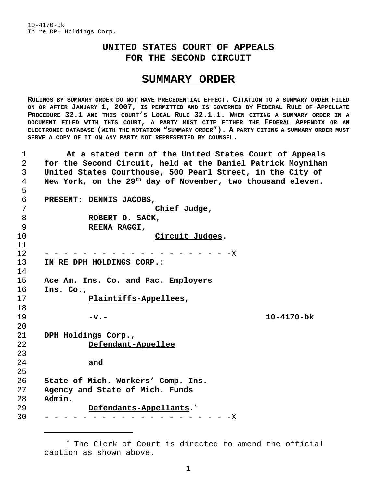## **UNITED STATES COURT OF APPEALS FOR THE SECOND CIRCUIT**

## **SUMMARY ORDER**

**RULINGS BY SUMMARY ORDER DO NOT HAVE PRECEDENTIAL EFFECT. CITATION TO A SUMMARY ORDER FILED ON OR AFTER JANUARY 1, 2007, IS PERMITTED AND IS GOVERNED BY FEDERAL RULE OF APPELLATE PROCEDURE 32.1 AND THIS COURT'S LOCAL RULE 32.1.1. WHEN CITING A SUMMARY ORDER IN A DOCUMENT FILED WITH THIS COURT, A PARTY MUST CITE EITHER THE FEDERAL APPENDIX OR AN ELECTRONIC DATABASE (WITH THE NOTATION "SUMMARY ORDER"). A PARTY CITING A SUMMARY ORDER MUST SERVE A COPY OF IT ON ANY PARTY NOT REPRESENTED BY COUNSEL.**

 **At a stated term of the United States Court of Appeals for the Second Circuit, held at the Daniel Patrick Moynihan United States Courthouse, 500 Pearl Street, in the City of** A New York, on the 29<sup>th</sup> day of November, two thousand eleven. **PRESENT: DENNIS JACOBS, Chief Judge, ROBERT D. SACK, REENA RAGGI, Circuit Judges.** - - - - - - - - - - - - - - - - - - - -X **IN RE DPH HOLDINGS CORP.: Ace Am. Ins. Co. and Pac. Employers Ins. Co., Plaintiffs-Appellees, -v.- 10-4170-bk DPH Holdings Corp., Defendant-Appellee and State of Mich. Workers' Comp. Ins. Agency and State of Mich. Funds Admin. Defendants-Appellants.**\* - - - - - - - - - - - - - - - - - - X

<sup>\*</sup> The Clerk of Court is directed to amend the official caption as shown above.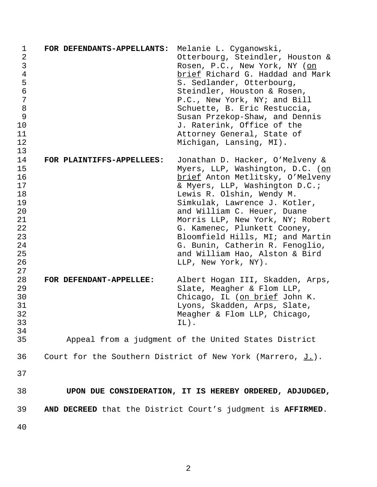| $\mathbf 1$    | FOR DEFENDANTS-APPELLANTS: | Melanie L. Cyganowski,                                        |
|----------------|----------------------------|---------------------------------------------------------------|
| $\overline{2}$ |                            | Otterbourg, Steindler, Houston &                              |
| 3              |                            | Rosen, P.C., New York, NY (on                                 |
| $\overline{4}$ |                            | brief Richard G. Haddad and Mark                              |
| 5              |                            | S. Sedlander, Otterbourg,                                     |
| $\epsilon$     |                            | Steindler, Houston & Rosen,                                   |
|                |                            |                                                               |
| 7              |                            | P.C., New York, NY; and Bill                                  |
| 8              |                            | Schuette, B. Eric Restuccia,                                  |
| 9              |                            | Susan Przekop-Shaw, and Dennis                                |
| 10             |                            | J. Raterink, Office of the                                    |
| 11             |                            | Attorney General, State of                                    |
| 12             |                            | Michigan, Lansing, MI).                                       |
| 13             |                            |                                                               |
| 14             | FOR PLAINTIFFS-APPELLEES:  | Jonathan D. Hacker, O'Melveny &                               |
| 15             |                            |                                                               |
|                |                            | Myers, LLP, Washington, D.C. (on                              |
| 16             |                            | brief Anton Metlitsky, O'Melveny                              |
| 17             |                            | & Myers, LLP, Washington D.C.;                                |
| 18             |                            | Lewis R. Olshin, Wendy M.                                     |
| 19             |                            | Simkulak, Lawrence J. Kotler,                                 |
| 20             |                            | and William C. Heuer, Duane                                   |
| 21             |                            | Morris LLP, New York, NY; Robert                              |
| 22             |                            | G. Kamenec, Plunkett Cooney,                                  |
| 23             |                            | Bloomfield Hills, MI; and Martin                              |
|                |                            |                                                               |
| 24             |                            | G. Bunin, Catherin R. Fenoglio,                               |
| 25             |                            | and William Hao, Alston & Bird                                |
| 26             |                            | LLP, New York, NY).                                           |
| 27             |                            |                                                               |
| 28             | FOR DEFENDANT-APPELLEE:    | Albert Hogan III, Skadden, Arps,                              |
| 29             |                            | Slate, Meagher & Flom LLP,                                    |
| 30             |                            | Chicago, IL (on brief John K.                                 |
| 31             |                            | Lyons, Skadden, Arps, Slate,                                  |
| 32             |                            | Meagher & Flom LLP, Chicago,                                  |
|                |                            |                                                               |
| 33             |                            | $IL)$ .                                                       |
| 34             |                            |                                                               |
| 35             |                            | Appeal from a judgment of the United States District          |
|                |                            |                                                               |
| 36             |                            | Court for the Southern District of New York (Marrero, $J.$ ). |
|                |                            |                                                               |
| 37             |                            |                                                               |
|                |                            |                                                               |
| 38             |                            | UPON DUE CONSIDERATION, IT IS HEREBY ORDERED, ADJUDGED,       |
|                |                            |                                                               |
| 39             |                            | AND DECREED that the District Court's judgment is AFFIRMED.   |
|                |                            |                                                               |
| 40             |                            |                                                               |
|                |                            |                                                               |
|                |                            |                                                               |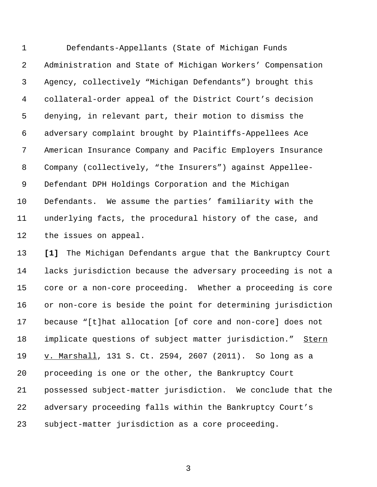Defendants-Appellants (State of Michigan Funds Administration and State of Michigan Workers' Compensation Agency, collectively "Michigan Defendants") brought this collateral-order appeal of the District Court's decision denying, in relevant part, their motion to dismiss the adversary complaint brought by Plaintiffs-Appellees Ace American Insurance Company and Pacific Employers Insurance Company (collectively, "the Insurers") against Appellee- Defendant DPH Holdings Corporation and the Michigan Defendants. We assume the parties' familiarity with the underlying facts, the procedural history of the case, and the issues on appeal.

 **[1]** The Michigan Defendants argue that the Bankruptcy Court lacks jurisdiction because the adversary proceeding is not a core or a non-core proceeding. Whether a proceeding is core or non-core is beside the point for determining jurisdiction because "[t]hat allocation [of core and non-core] does not implicate questions of subject matter jurisdiction." Stern 19 v. Marshall, 131 S. Ct. 2594, 2607 (2011). So long as a proceeding is one or the other, the Bankruptcy Court possessed subject-matter jurisdiction. We conclude that the adversary proceeding falls within the Bankruptcy Court's subject-matter jurisdiction as a core proceeding.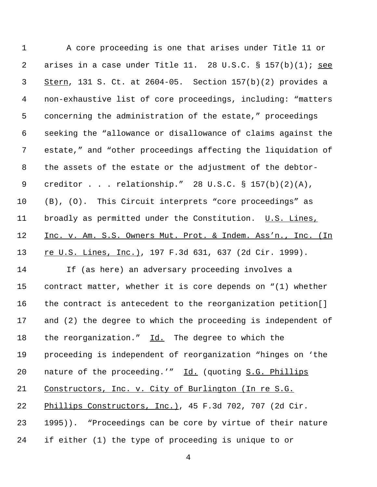A core proceeding is one that arises under Title 11 or arises in a case under Title 11. 28 U.S.C. § 157(b)(1); see Stern, 131 S. Ct. at 2604-05. Section 157(b)(2) provides a non-exhaustive list of core proceedings, including: "matters concerning the administration of the estate," proceedings seeking the "allowance or disallowance of claims against the estate," and "other proceedings affecting the liquidation of the assets of the estate or the adjustment of the debtor- creditor . . . relationship." 28 U.S.C. § 157(b)(2)(A), (B), (O). This Circuit interprets "core proceedings" as broadly as permitted under the Constitution. U.S. Lines, 12 Inc. v. Am. S.S. Owners Mut. Prot. & Indem. Ass'n., Inc. (In 13 re U.S. Lines, Inc.), 197 F.3d 631, 637 (2d Cir. 1999). If (as here) an adversary proceeding involves a contract matter, whether it is core depends on "(1) whether the contract is antecedent to the reorganization petition[] and (2) the degree to which the proceeding is independent of 18 the reorganization." Id. The degree to which the proceeding is independent of reorganization "hinges on 'the 20 nature of the proceeding.'" Id. (quoting S.G. Phillips Constructors, Inc. v. City of Burlington (In re S.G. Phillips Constructors, Inc.), 45 F.3d 702, 707 (2d Cir. 1995)). "Proceedings can be core by virtue of their nature if either (1) the type of proceeding is unique to or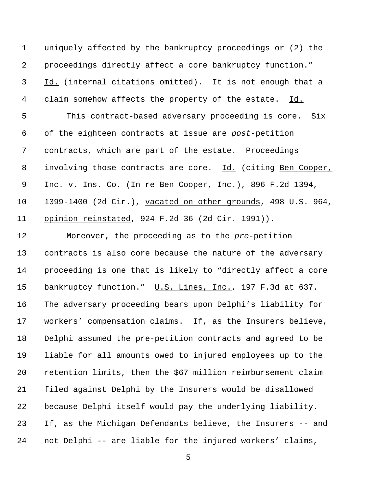uniquely affected by the bankruptcy proceedings or (2) the proceedings directly affect a core bankruptcy function." Id. (internal citations omitted). It is not enough that a 4 claim somehow affects the property of the estate. Id. This contract-based adversary proceeding is core. Six of the eighteen contracts at issue are *post*-petition contracts, which are part of the estate. Proceedings 8 involving those contracts are core. Id. (citing Ben Cooper, 9 Inc. v. Ins. Co. (In re Ben Cooper, Inc.), 896 F.2d 1394, 1399-1400 (2d Cir.), vacated on other grounds, 498 U.S. 964, 11 opinion reinstated, 924 F.2d 36 (2d Cir. 1991)).

 Moreover, the proceeding as to the *pre*-petition contracts is also core because the nature of the adversary proceeding is one that is likely to "directly affect a core 15 bankruptcy function." U.S. Lines, Inc., 197 F.3d at 637. The adversary proceeding bears upon Delphi's liability for workers' compensation claims. If, as the Insurers believe, Delphi assumed the pre-petition contracts and agreed to be liable for all amounts owed to injured employees up to the retention limits, then the \$67 million reimbursement claim filed against Delphi by the Insurers would be disallowed because Delphi itself would pay the underlying liability. If, as the Michigan Defendants believe, the Insurers -- and not Delphi -- are liable for the injured workers' claims,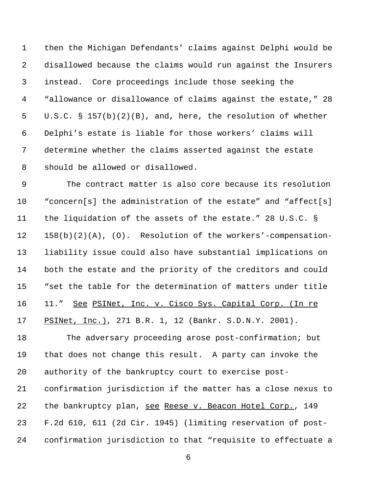then the Michigan Defendants' claims against Delphi would be disallowed because the claims would run against the Insurers instead. Core proceedings include those seeking the "allowance or disallowance of claims against the estate," 28 U.S.C. § 157(b)(2)(B), and, here, the resolution of whether Delphi's estate is liable for those workers' claims will determine whether the claims asserted against the estate should be allowed or disallowed.

 The contract matter is also core because its resolution "concern[s] the administration of the estate" and "affect[s] the liquidation of the assets of the estate." 28 U.S.C. § 158(b)(2)(A), (O). Resolution of the workers'-compensation- liability issue could also have substantial implications on both the estate and the priority of the creditors and could "set the table for the determination of matters under title 11." See PSINet, Inc. v. Cisco Sys. Capital Corp. (In re 17 PSINet, Inc.), 271 B.R. 1, 12 (Bankr. S.D.N.Y. 2001).

 The adversary proceeding arose post-confirmation; but that does not change this result. A party can invoke the authority of the bankruptcy court to exercise post- confirmation jurisdiction if the matter has a close nexus to the bankruptcy plan, see Reese v. Beacon Hotel Corp., 149 F.2d 610, 611 (2d Cir. 1945) (limiting reservation of post-confirmation jurisdiction to that "requisite to effectuate a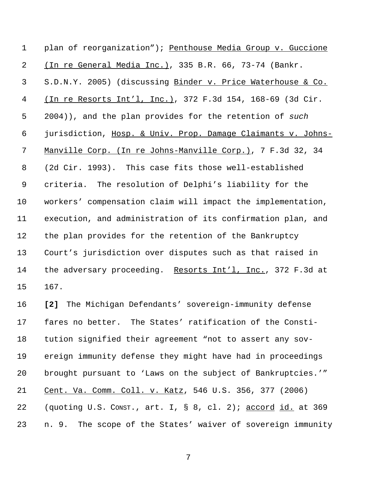| $\mathbf 1$    | plan of reorganization"); Penthouse Media Group v. Guccione                                          |
|----------------|------------------------------------------------------------------------------------------------------|
| $\overline{a}$ | (In re General Media Inc.), 335 B.R. 66, 73-74 (Bankr.                                               |
| $\mathsf{3}$   | S.D.N.Y. 2005) (discussing Binder v. Price Waterhouse & Co.                                          |
| 4              | <u>(In re Resorts Int'l, Inc.)</u> , 372 F.3d 154, 168-69 (3d Cir.                                   |
| 5              | 2004)), and the plan provides for the retention of such                                              |
| 6              | jurisdiction, Hosp. & Univ. Prop. Damage Claimants v. Johns-                                         |
| 7              | Manville Corp. (In re Johns-Manville Corp.), 7 F.3d 32, 34                                           |
| 8              | (2d Cir. 1993). This case fits those well-established                                                |
| 9              | criteria. The resolution of Delphi's liability for the                                               |
| 10             | workers' compensation claim will impact the implementation,                                          |
| 11             | execution, and administration of its confirmation plan, and                                          |
| 12             | the plan provides for the retention of the Bankruptcy                                                |
| 13             | Court's jurisdiction over disputes such as that raised in                                            |
| 14             | the adversary proceeding. Resorts Int'l, Inc., 372 F.3d at                                           |
| 15             | 167.                                                                                                 |
| 16             | The Michigan Defendants' sovereign-immunity defense<br>$\left[\begin{array}{c} 2 \end{array}\right]$ |
| 17             | fares no better. The States' ratification of the Consti-                                             |
| 18             | tution signified their agreement "not to assert any sov-                                             |
| 19             | ereign immunity defense they might have had in proceedings                                           |
| 20             | brought pursuant to 'Laws on the subject of Bankruptcies.'"                                          |
| 21             | Cent. Va. Comm. Coll. v. Katz, 546 U.S. 356, 377 (2006)                                              |
| 22             | (quoting U.S. CONST., art. I, § 8, cl. 2); accord id. at 369                                         |
| 23             | The scope of the States' waiver of sovereign immunity<br>n. 9.                                       |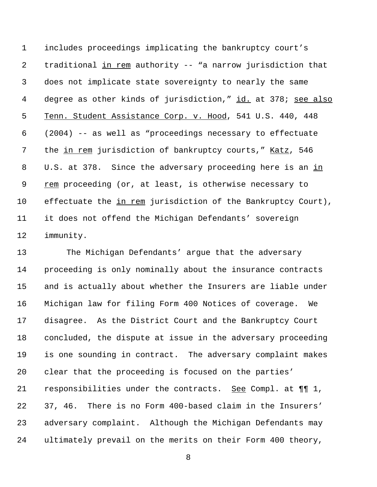includes proceedings implicating the bankruptcy court's traditional in rem authority -- "a narrow jurisdiction that does not implicate state sovereignty to nearly the same 4 degree as other kinds of jurisdiction," id. at 378; see also Tenn. Student Assistance Corp. v. Hood, 541 U.S. 440, 448 (2004) -- as well as "proceedings necessary to effectuate the in rem jurisdiction of bankruptcy courts," Katz, 546 U.S. at 378. Since the adversary proceeding here is an in rem proceeding (or, at least, is otherwise necessary to effectuate the in rem jurisdiction of the Bankruptcy Court), it does not offend the Michigan Defendants' sovereign immunity.

 The Michigan Defendants' argue that the adversary proceeding is only nominally about the insurance contracts and is actually about whether the Insurers are liable under Michigan law for filing Form 400 Notices of coverage. We disagree. As the District Court and the Bankruptcy Court concluded, the dispute at issue in the adversary proceeding is one sounding in contract. The adversary complaint makes clear that the proceeding is focused on the parties' 21 responsibilities under the contracts. See Compl. at  $\P\P$  1, 37, 46. There is no Form 400-based claim in the Insurers' adversary complaint. Although the Michigan Defendants may ultimately prevail on the merits on their Form 400 theory,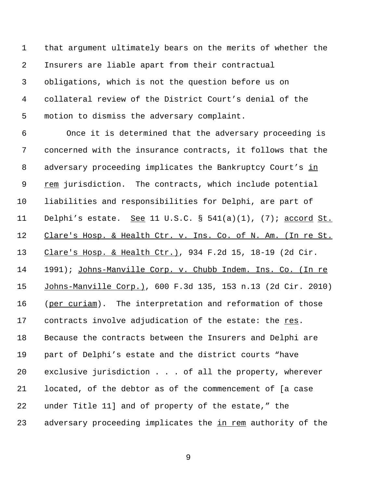that argument ultimately bears on the merits of whether the Insurers are liable apart from their contractual obligations, which is not the question before us on collateral review of the District Court's denial of the motion to dismiss the adversary complaint.

 Once it is determined that the adversary proceeding is concerned with the insurance contracts, it follows that the adversary proceeding implicates the Bankruptcy Court's in rem jurisdiction. The contracts, which include potential liabilities and responsibilities for Delphi, are part of Delphi's estate. See 11 U.S.C. § 541(a)(1), (7); accord St. 12 Clare's Hosp. & Health Ctr. v. Ins. Co. of N. Am. (In re St. Clare's Hosp. & Health Ctr.), 934 F.2d 15, 18-19 (2d Cir. 14 1991); Johns-Manville Corp. v. Chubb Indem. Ins. Co. (In re Johns-Manville Corp.), 600 F.3d 135, 153 n.13 (2d Cir. 2010) 16 (per curiam). The interpretation and reformation of those 17 contracts involve adjudication of the estate: the res. Because the contracts between the Insurers and Delphi are part of Delphi's estate and the district courts "have exclusive jurisdiction . . . of all the property, wherever located, of the debtor as of the commencement of [a case under Title 11] and of property of the estate," the adversary proceeding implicates the in rem authority of the